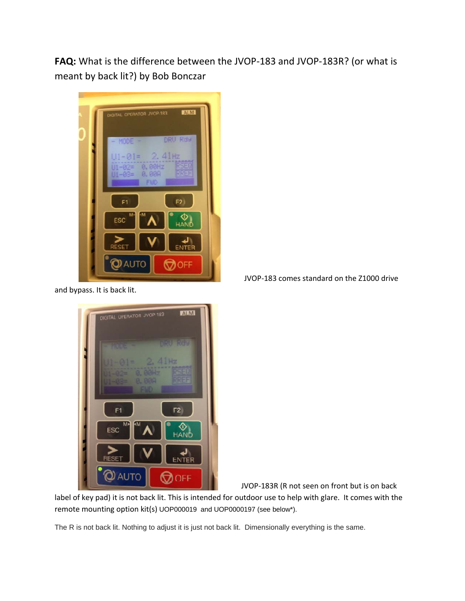**FAQ:** What is the difference between the JVOP‐183 and JVOP‐183R? (or what is meant by back lit?) by Bob Bonczar



and bypass. It is back lit.



JVOP‐183 comes standard on the Z1000 drive

JVOP‐183R (R not seen on front but is on back

label of key pad) it is not back lit. This is intended for outdoor use to help with glare. It comes with the remote mounting option kit(s) UOP000019 and UOP0000197 (see below\*).

The R is not back lit. Nothing to adjust it is just not back lit. Dimensionally everything is the same.